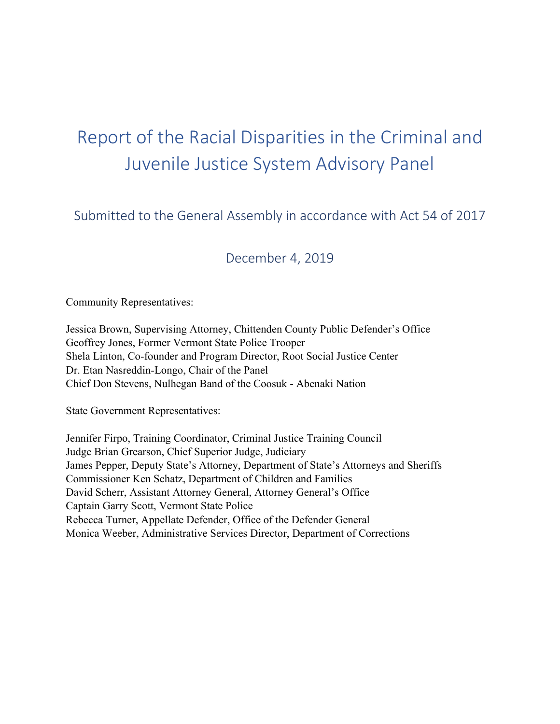# Report of the Racial Disparities in the Criminal and Juvenile Justice System Advisory Panel

Submitted to the General Assembly in accordance with Act 54 of 2017

# December 4, 2019

Community Representatives:

Jessica Brown, Supervising Attorney, Chittenden County Public Defender's Office Geoffrey Jones, Former Vermont State Police Trooper Shela Linton, Co-founder and Program Director, Root Social Justice Center Dr. Etan Nasreddin-Longo, Chair of the Panel Chief Don Stevens, Nulhegan Band of the Coosuk - Abenaki Nation

State Government Representatives:

Jennifer Firpo, Training Coordinator, Criminal Justice Training Council Judge Brian Grearson, Chief Superior Judge, Judiciary James Pepper, Deputy State's Attorney, Department of State's Attorneys and Sheriffs Commissioner Ken Schatz, Department of Children and Families David Scherr, Assistant Attorney General, Attorney General's Office Captain Garry Scott, Vermont State Police Rebecca Turner, Appellate Defender, Office of the Defender General Monica Weeber, Administrative Services Director, Department of Corrections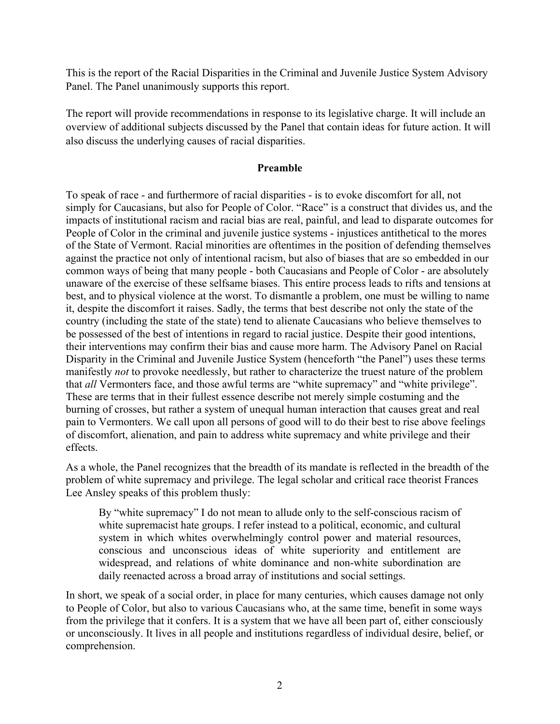This is the report of the Racial Disparities in the Criminal and Juvenile Justice System Advisory Panel. The Panel unanimously supports this report.

The report will provide recommendations in response to its legislative charge. It will include an overview of additional subjects discussed by the Panel that contain ideas for future action. It will also discuss the underlying causes of racial disparities.

# **Preamble**

To speak of race - and furthermore of racial disparities - is to evoke discomfort for all, not simply for Caucasians, but also for People of Color. "Race" is a construct that divides us, and the impacts of institutional racism and racial bias are real, painful, and lead to disparate outcomes for People of Color in the criminal and juvenile justice systems - injustices antithetical to the mores of the State of Vermont. Racial minorities are oftentimes in the position of defending themselves against the practice not only of intentional racism, but also of biases that are so embedded in our common ways of being that many people - both Caucasians and People of Color - are absolutely unaware of the exercise of these selfsame biases. This entire process leads to rifts and tensions at best, and to physical violence at the worst. To dismantle a problem, one must be willing to name it, despite the discomfort it raises. Sadly, the terms that best describe not only the state of the country (including the state of the state) tend to alienate Caucasians who believe themselves to be possessed of the best of intentions in regard to racial justice. Despite their good intentions, their interventions may confirm their bias and cause more harm. The Advisory Panel on Racial Disparity in the Criminal and Juvenile Justice System (henceforth "the Panel") uses these terms manifestly *not* to provoke needlessly, but rather to characterize the truest nature of the problem that *all* Vermonters face, and those awful terms are "white supremacy" and "white privilege". These are terms that in their fullest essence describe not merely simple costuming and the burning of crosses, but rather a system of unequal human interaction that causes great and real pain to Vermonters. We call upon all persons of good will to do their best to rise above feelings of discomfort, alienation, and pain to address white supremacy and white privilege and their effects.

As a whole, the Panel recognizes that the breadth of its mandate is reflected in the breadth of the problem of white supremacy and privilege. The legal scholar and critical race theorist Frances Lee Ansley speaks of this problem thusly:

By "white supremacy" I do not mean to allude only to the self-conscious racism of white supremacist hate groups. I refer instead to a political, economic, and cultural system in which whites overwhelmingly control power and material resources, conscious and unconscious ideas of white superiority and entitlement are widespread, and relations of white dominance and non-white subordination are daily reenacted across a broad array of institutions and social settings.

In short, we speak of a social order, in place for many centuries, which causes damage not only to People of Color, but also to various Caucasians who, at the same time, benefit in some ways from the privilege that it confers. It is a system that we have all been part of, either consciously or unconsciously. It lives in all people and institutions regardless of individual desire, belief, or comprehension.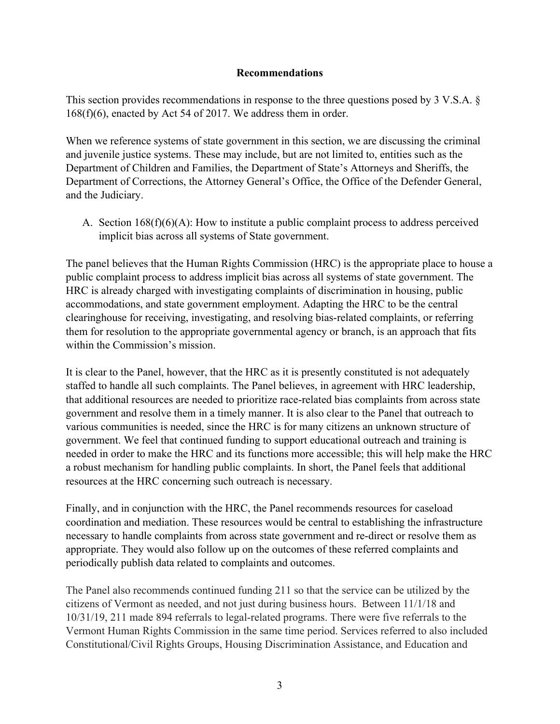#### **Recommendations**

This section provides recommendations in response to the three questions posed by 3 V.S.A. § 168(f)(6), enacted by Act 54 of 2017. We address them in order.

When we reference systems of state government in this section, we are discussing the criminal and juvenile justice systems. These may include, but are not limited to, entities such as the Department of Children and Families, the Department of State's Attorneys and Sheriffs, the Department of Corrections, the Attorney General's Office, the Office of the Defender General, and the Judiciary.

A. Section 168(f)(6)(A): How to institute a public complaint process to address perceived implicit bias across all systems of State government.

The panel believes that the Human Rights Commission (HRC) is the appropriate place to house a public complaint process to address implicit bias across all systems of state government. The HRC is already charged with investigating complaints of discrimination in housing, public accommodations, and state government employment. Adapting the HRC to be the central clearinghouse for receiving, investigating, and resolving bias-related complaints, or referring them for resolution to the appropriate governmental agency or branch, is an approach that fits within the Commission's mission.

It is clear to the Panel, however, that the HRC as it is presently constituted is not adequately staffed to handle all such complaints. The Panel believes, in agreement with HRC leadership, that additional resources are needed to prioritize race-related bias complaints from across state government and resolve them in a timely manner. It is also clear to the Panel that outreach to various communities is needed, since the HRC is for many citizens an unknown structure of government. We feel that continued funding to support educational outreach and training is needed in order to make the HRC and its functions more accessible; this will help make the HRC a robust mechanism for handling public complaints. In short, the Panel feels that additional resources at the HRC concerning such outreach is necessary.

Finally, and in conjunction with the HRC, the Panel recommends resources for caseload coordination and mediation. These resources would be central to establishing the infrastructure necessary to handle complaints from across state government and re-direct or resolve them as appropriate. They would also follow up on the outcomes of these referred complaints and periodically publish data related to complaints and outcomes.

The Panel also recommends continued funding 211 so that the service can be utilized by the citizens of Vermont as needed, and not just during business hours. Between 11/1/18 and 10/31/19, 211 made 894 referrals to legal-related programs. There were five referrals to the Vermont Human Rights Commission in the same time period. Services referred to also included Constitutional/Civil Rights Groups, Housing Discrimination Assistance, and Education and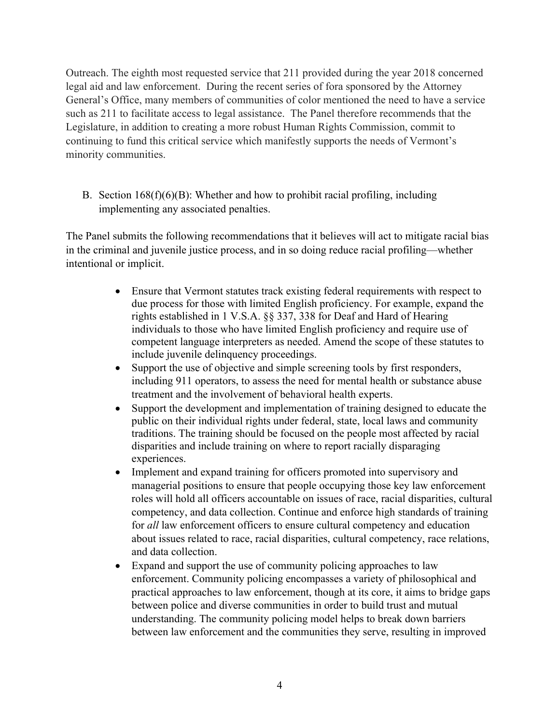Outreach. The eighth most requested service that 211 provided during the year 2018 concerned legal aid and law enforcement. During the recent series of fora sponsored by the Attorney General's Office, many members of communities of color mentioned the need to have a service such as 211 to facilitate access to legal assistance. The Panel therefore recommends that the Legislature, in addition to creating a more robust Human Rights Commission, commit to continuing to fund this critical service which manifestly supports the needs of Vermont's minority communities.

B. Section  $168(f)(6)(B)$ : Whether and how to prohibit racial profiling, including implementing any associated penalties.

The Panel submits the following recommendations that it believes will act to mitigate racial bias in the criminal and juvenile justice process, and in so doing reduce racial profiling—whether intentional or implicit.

- Ensure that Vermont statutes track existing federal requirements with respect to due process for those with limited English proficiency. For example, expand the rights established in 1 V.S.A. §§ 337, 338 for Deaf and Hard of Hearing individuals to those who have limited English proficiency and require use of competent language interpreters as needed. Amend the scope of these statutes to include juvenile delinquency proceedings.
- Support the use of objective and simple screening tools by first responders, including 911 operators, to assess the need for mental health or substance abuse treatment and the involvement of behavioral health experts.
- Support the development and implementation of training designed to educate the public on their individual rights under federal, state, local laws and community traditions. The training should be focused on the people most affected by racial disparities and include training on where to report racially disparaging experiences.
- Implement and expand training for officers promoted into supervisory and managerial positions to ensure that people occupying those key law enforcement roles will hold all officers accountable on issues of race, racial disparities, cultural competency, and data collection. Continue and enforce high standards of training for *all* law enforcement officers to ensure cultural competency and education about issues related to race, racial disparities, cultural competency, race relations, and data collection.
- Expand and support the use of community policing approaches to law enforcement. Community policing encompasses a variety of philosophical and practical approaches to law enforcement, though at its core, it aims to bridge gaps between police and diverse communities in order to build trust and mutual understanding. The community policing model helps to break down barriers between law enforcement and the communities they serve, resulting in improved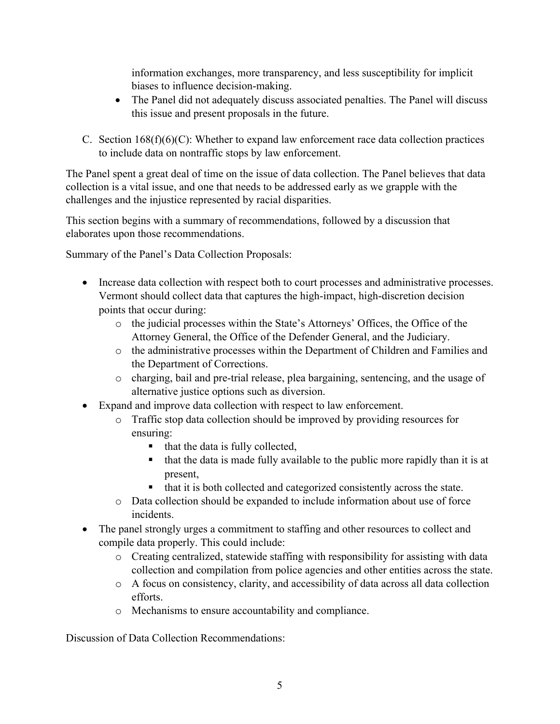information exchanges, more transparency, and less susceptibility for implicit biases to influence decision-making.

- The Panel did not adequately discuss associated penalties. The Panel will discuss this issue and present proposals in the future.
- C. Section  $168(f)(6)(C)$ : Whether to expand law enforcement race data collection practices to include data on nontraffic stops by law enforcement.

The Panel spent a great deal of time on the issue of data collection. The Panel believes that data collection is a vital issue, and one that needs to be addressed early as we grapple with the challenges and the injustice represented by racial disparities.

This section begins with a summary of recommendations, followed by a discussion that elaborates upon those recommendations.

Summary of the Panel's Data Collection Proposals:

- Increase data collection with respect both to court processes and administrative processes. Vermont should collect data that captures the high-impact, high-discretion decision points that occur during:
	- o the judicial processes within the State's Attorneys' Offices, the Office of the Attorney General, the Office of the Defender General, and the Judiciary.
	- o the administrative processes within the Department of Children and Families and the Department of Corrections.
	- o charging, bail and pre-trial release, plea bargaining, sentencing, and the usage of alternative justice options such as diversion.
- Expand and improve data collection with respect to law enforcement.
	- o Traffic stop data collection should be improved by providing resources for ensuring:
		- § that the data is fully collected,
		- that the data is made fully available to the public more rapidly than it is at present,
		- that it is both collected and categorized consistently across the state.
	- o Data collection should be expanded to include information about use of force incidents.
- The panel strongly urges a commitment to staffing and other resources to collect and compile data properly. This could include:
	- $\circ$  Creating centralized, statewide staffing with responsibility for assisting with data collection and compilation from police agencies and other entities across the state.
	- o A focus on consistency, clarity, and accessibility of data across all data collection efforts.
	- o Mechanisms to ensure accountability and compliance.

Discussion of Data Collection Recommendations: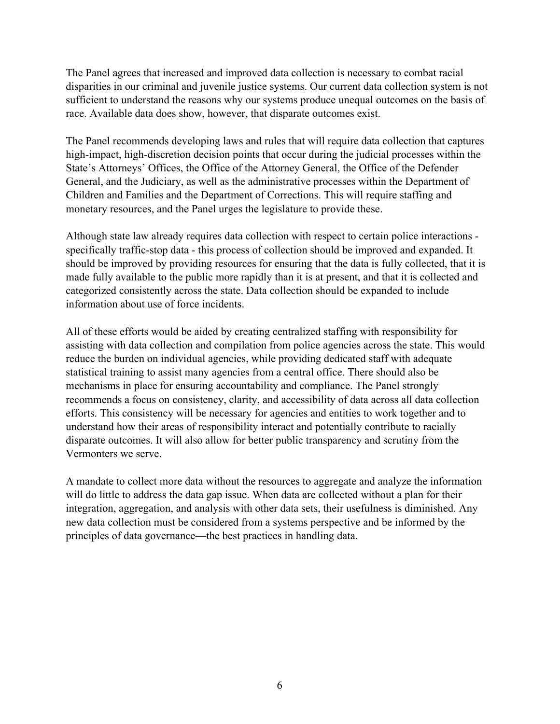The Panel agrees that increased and improved data collection is necessary to combat racial disparities in our criminal and juvenile justice systems. Our current data collection system is not sufficient to understand the reasons why our systems produce unequal outcomes on the basis of race. Available data does show, however, that disparate outcomes exist.

The Panel recommends developing laws and rules that will require data collection that captures high-impact, high-discretion decision points that occur during the judicial processes within the State's Attorneys' Offices, the Office of the Attorney General, the Office of the Defender General, and the Judiciary, as well as the administrative processes within the Department of Children and Families and the Department of Corrections. This will require staffing and monetary resources, and the Panel urges the legislature to provide these.

Although state law already requires data collection with respect to certain police interactions specifically traffic-stop data - this process of collection should be improved and expanded. It should be improved by providing resources for ensuring that the data is fully collected, that it is made fully available to the public more rapidly than it is at present, and that it is collected and categorized consistently across the state. Data collection should be expanded to include information about use of force incidents.

All of these efforts would be aided by creating centralized staffing with responsibility for assisting with data collection and compilation from police agencies across the state. This would reduce the burden on individual agencies, while providing dedicated staff with adequate statistical training to assist many agencies from a central office. There should also be mechanisms in place for ensuring accountability and compliance. The Panel strongly recommends a focus on consistency, clarity, and accessibility of data across all data collection efforts. This consistency will be necessary for agencies and entities to work together and to understand how their areas of responsibility interact and potentially contribute to racially disparate outcomes. It will also allow for better public transparency and scrutiny from the Vermonters we serve.

A mandate to collect more data without the resources to aggregate and analyze the information will do little to address the data gap issue. When data are collected without a plan for their integration, aggregation, and analysis with other data sets, their usefulness is diminished. Any new data collection must be considered from a systems perspective and be informed by the principles of data governance—the best practices in handling data.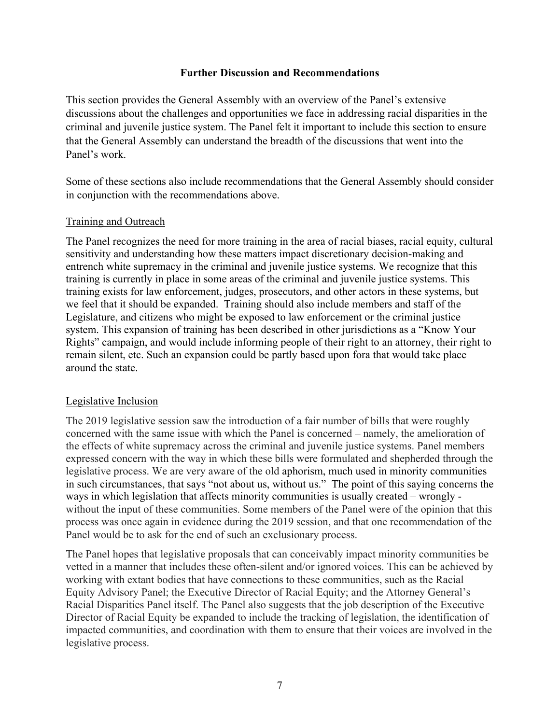#### **Further Discussion and Recommendations**

This section provides the General Assembly with an overview of the Panel's extensive discussions about the challenges and opportunities we face in addressing racial disparities in the criminal and juvenile justice system. The Panel felt it important to include this section to ensure that the General Assembly can understand the breadth of the discussions that went into the Panel's work.

Some of these sections also include recommendations that the General Assembly should consider in conjunction with the recommendations above.

# Training and Outreach

The Panel recognizes the need for more training in the area of racial biases, racial equity, cultural sensitivity and understanding how these matters impact discretionary decision-making and entrench white supremacy in the criminal and juvenile justice systems. We recognize that this training is currently in place in some areas of the criminal and juvenile justice systems. This training exists for law enforcement, judges, prosecutors, and other actors in these systems, but we feel that it should be expanded. Training should also include members and staff of the Legislature, and citizens who might be exposed to law enforcement or the criminal justice system. This expansion of training has been described in other jurisdictions as a "Know Your Rights" campaign, and would include informing people of their right to an attorney, their right to remain silent, etc. Such an expansion could be partly based upon fora that would take place around the state.

#### Legislative Inclusion

The 2019 legislative session saw the introduction of a fair number of bills that were roughly concerned with the same issue with which the Panel is concerned – namely, the amelioration of the effects of white supremacy across the criminal and juvenile justice systems. Panel members expressed concern with the way in which these bills were formulated and shepherded through the legislative process. We are very aware of the old aphorism, much used in minority communities in such circumstances, that says "not about us, without us." The point of this saying concerns the ways in which legislation that affects minority communities is usually created – wrongly without the input of these communities. Some members of the Panel were of the opinion that this process was once again in evidence during the 2019 session, and that one recommendation of the Panel would be to ask for the end of such an exclusionary process.

The Panel hopes that legislative proposals that can conceivably impact minority communities be vetted in a manner that includes these often-silent and/or ignored voices. This can be achieved by working with extant bodies that have connections to these communities, such as the Racial Equity Advisory Panel; the Executive Director of Racial Equity; and the Attorney General's Racial Disparities Panel itself. The Panel also suggests that the job description of the Executive Director of Racial Equity be expanded to include the tracking of legislation, the identification of impacted communities, and coordination with them to ensure that their voices are involved in the legislative process.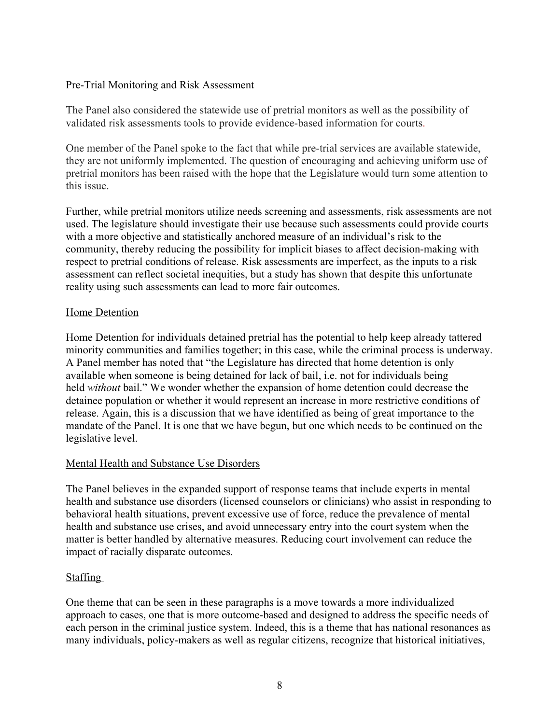# Pre-Trial Monitoring and Risk Assessment

The Panel also considered the statewide use of pretrial monitors as well as the possibility of validated risk assessments tools to provide evidence-based information for courts.

One member of the Panel spoke to the fact that while pre-trial services are available statewide, they are not uniformly implemented. The question of encouraging and achieving uniform use of pretrial monitors has been raised with the hope that the Legislature would turn some attention to this issue.

Further, while pretrial monitors utilize needs screening and assessments, risk assessments are not used. The legislature should investigate their use because such assessments could provide courts with a more objective and statistically anchored measure of an individual's risk to the community, thereby reducing the possibility for implicit biases to affect decision-making with respect to pretrial conditions of release. Risk assessments are imperfect, as the inputs to a risk assessment can reflect societal inequities, but a study has shown that despite this unfortunate reality using such assessments can lead to more fair outcomes.

# Home Detention

Home Detention for individuals detained pretrial has the potential to help keep already tattered minority communities and families together; in this case, while the criminal process is underway. A Panel member has noted that "the Legislature has directed that home detention is only available when someone is being detained for lack of bail, i.e. not for individuals being held *without* bail." We wonder whether the expansion of home detention could decrease the detainee population or whether it would represent an increase in more restrictive conditions of release. Again, this is a discussion that we have identified as being of great importance to the mandate of the Panel. It is one that we have begun, but one which needs to be continued on the legislative level.

# Mental Health and Substance Use Disorders

The Panel believes in the expanded support of response teams that include experts in mental health and substance use disorders (licensed counselors or clinicians) who assist in responding to behavioral health situations, prevent excessive use of force, reduce the prevalence of mental health and substance use crises, and avoid unnecessary entry into the court system when the matter is better handled by alternative measures. Reducing court involvement can reduce the impact of racially disparate outcomes.

#### Staffing

One theme that can be seen in these paragraphs is a move towards a more individualized approach to cases, one that is more outcome-based and designed to address the specific needs of each person in the criminal justice system. Indeed, this is a theme that has national resonances as many individuals, policy-makers as well as regular citizens, recognize that historical initiatives,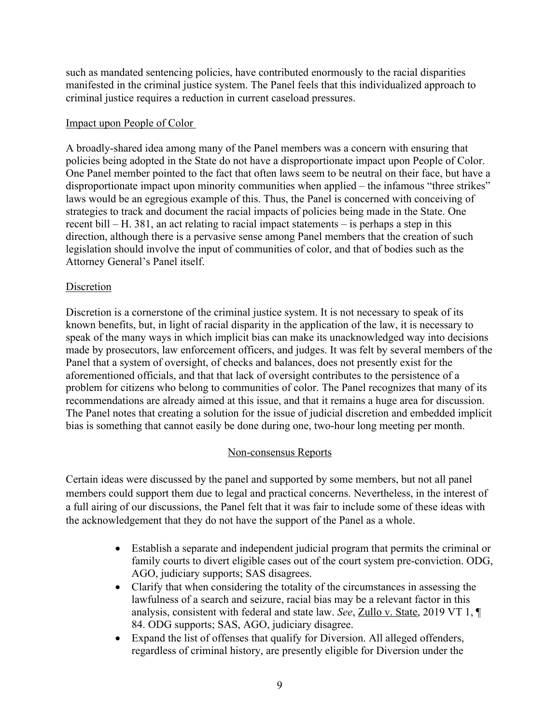such as mandated sentencing policies, have contributed enormously to the racial disparities manifested in the criminal justice system. The Panel feels that this individualized approach to criminal justice requires a reduction in current caseload pressures.

#### Impact upon People of Color

A broadly-shared idea among many of the Panel members was a concern with ensuring that policies being adopted in the State do not have a disproportionate impact upon People of Color. One Panel member pointed to the fact that often laws seem to be neutral on their face, but have a disproportionate impact upon minority communities when applied – the infamous "three strikes" laws would be an egregious example of this. Thus, the Panel is concerned with conceiving of strategies to track and document the racial impacts of policies being made in the State. One recent bill – H. 381, an act relating to racial impact statements – is perhaps a step in this direction, although there is a pervasive sense among Panel members that the creation of such legislation should involve the input of communities of color, and that of bodies such as the Attorney General's Panel itself.

# Discretion

Discretion is a cornerstone of the criminal justice system. It is not necessary to speak of its known benefits, but, in light of racial disparity in the application of the law, it is necessary to speak of the many ways in which implicit bias can make its unacknowledged way into decisions made by prosecutors, law enforcement officers, and judges. It was felt by several members of the Panel that a system of oversight, of checks and balances, does not presently exist for the aforementioned officials, and that that lack of oversight contributes to the persistence of a problem for citizens who belong to communities of color. The Panel recognizes that many of its recommendations are already aimed at this issue, and that it remains a huge area for discussion. The Panel notes that creating a solution for the issue of judicial discretion and embedded implicit bias is something that cannot easily be done during one, two-hour long meeting per month.

# Non-consensus Reports

Certain ideas were discussed by the panel and supported by some members, but not all panel members could support them due to legal and practical concerns. Nevertheless, in the interest of a full airing of our discussions, the Panel felt that it was fair to include some of these ideas with the acknowledgement that they do not have the support of the Panel as a whole.

- Establish a separate and independent judicial program that permits the criminal or family courts to divert eligible cases out of the court system pre-conviction. ODG, AGO, judiciary supports; SAS disagrees.
- Clarify that when considering the totality of the circumstances in assessing the lawfulness of a search and seizure, racial bias may be a relevant factor in this analysis, consistent with federal and state law. *See*, Zullo v. State, 2019 VT 1, ¶ 84. ODG supports; SAS, AGO, judiciary disagree.
- Expand the list of offenses that qualify for Diversion. All alleged offenders, regardless of criminal history, are presently eligible for Diversion under the